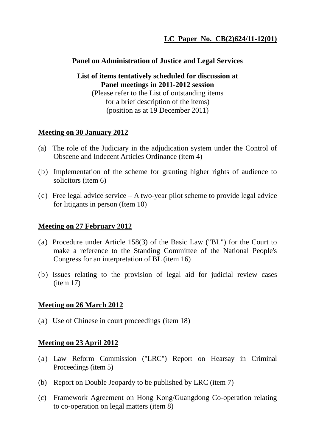## **Panel on Administration of Justice and Legal Services**

**List of items tentatively scheduled for discussion at Panel meetings in 2011-2012 session** 

(Please refer to the List of outstanding items for a brief description of the items) (position as at 19 December 2011)

# **Meeting on 30 January 2012**

- (a) The role of the Judiciary in the adjudication system under the Control of Obscene and Indecent Articles Ordinance (item 4)
- (b) Implementation of the scheme for granting higher rights of audience to solicitors (item 6)
- (c) Free legal advice service A two-year pilot scheme to provide legal advice for litigants in person (Item 10)

### **Meeting on 27 February 2012**

- (a) Procedure under Article 158(3) of the Basic Law ("BL") for the Court to make a reference to the Standing Committee of the National People's Congress for an interpretation of BL (item 16)
- (b) Issues relating to the provision of legal aid for judicial review cases  $(item 17)$

### **Meeting on 26 March 2012**

(a) Use of Chinese in court proceedings (item 18)

### **Meeting on 23 April 2012**

- (a) Law Reform Commission ("LRC") Report on Hearsay in Criminal Proceedings (item 5)
- (b) Report on Double Jeopardy to be published by LRC (item 7)
- (c) Framework Agreement on Hong Kong/Guangdong Co-operation relating to co-operation on legal matters (item 8)